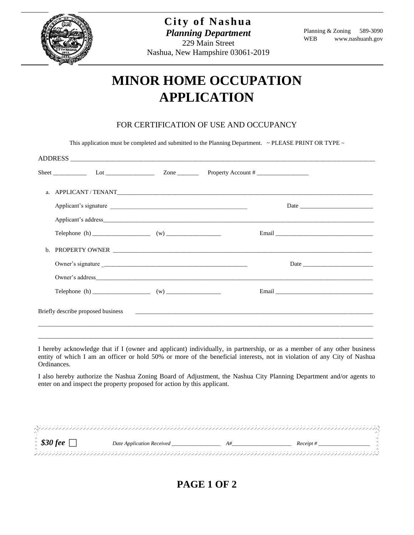

## **MINOR HOME OCCUPATION APPLICATION**

## FOR CERTIFICATION OF USE AND OCCUPANCY

This application must be completed and submitted to the Planning Department.  $\sim$  PLEASE PRINT OR TYPE  $\sim$ 

| ADDRESS                            |                       |  |  |  |  |  |  |  |
|------------------------------------|-----------------------|--|--|--|--|--|--|--|
|                                    |                       |  |  |  |  |  |  |  |
|                                    |                       |  |  |  |  |  |  |  |
|                                    | Applicant's signature |  |  |  |  |  |  |  |
|                                    |                       |  |  |  |  |  |  |  |
|                                    |                       |  |  |  |  |  |  |  |
|                                    |                       |  |  |  |  |  |  |  |
|                                    |                       |  |  |  |  |  |  |  |
|                                    |                       |  |  |  |  |  |  |  |
|                                    |                       |  |  |  |  |  |  |  |
| Briefly describe proposed business |                       |  |  |  |  |  |  |  |
|                                    |                       |  |  |  |  |  |  |  |

I hereby acknowledge that if I (owner and applicant) individually, in partnership, or as a member of any other business entity of which I am an officer or hold 50% or more of the beneficial interests, not in violation of any City of Nashua Ordinances.

I also hereby authorize the Nashua Zoning Board of Adjustment, the Nashua City Planning Department and/or agents to enter on and inspect the property proposed for action by this applicant.

| $\frac{1}{2}$ \$30 fee $\lceil$ | Date Application Received | Receint # |  |
|---------------------------------|---------------------------|-----------|--|
|                                 |                           |           |  |

**PAGE 1 OF 2**